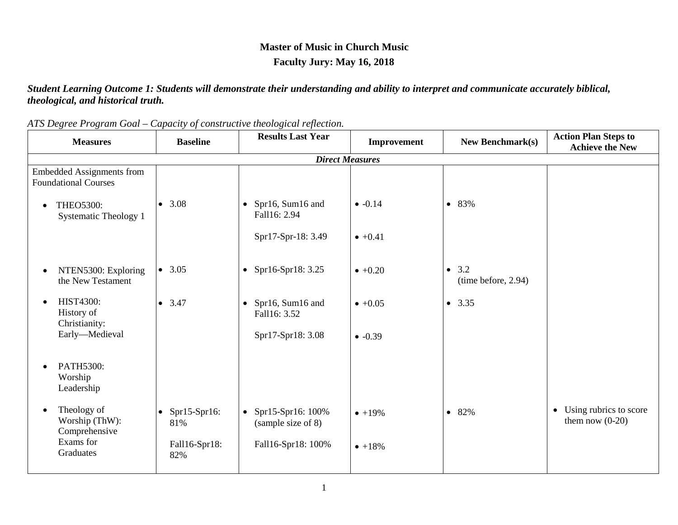## **Master of Music in Church Music Faculty Jury: May 16, 2018**

*Student Learning Outcome 1: Students will demonstrate their understanding and ability to interpret and communicate accurately biblical, theological, and historical truth.*

| <b>Measures</b>                                                 | <b>Baseline</b>               | <b>Results Last Year</b>                      | Improvement     | <b>New Benchmark(s)</b>                 | <b>Action Plan Steps to</b><br><b>Achieve the New</b> |  |  |  |  |
|-----------------------------------------------------------------|-------------------------------|-----------------------------------------------|-----------------|-----------------------------------------|-------------------------------------------------------|--|--|--|--|
| <b>Direct Measures</b>                                          |                               |                                               |                 |                                         |                                                       |  |  |  |  |
| <b>Embedded Assignments from</b><br><b>Foundational Courses</b> |                               |                                               |                 |                                         |                                                       |  |  |  |  |
| <b>THEO5300:</b><br>$\bullet$<br>Systematic Theology 1          | 3.08<br>$\bullet$             | • Spr16, Sum16 and<br>Fall16: 2.94            | $-0.14$         | 83%<br>$\bullet$                        |                                                       |  |  |  |  |
|                                                                 |                               | Spr17-Spr-18: 3.49                            | $\bullet +0.41$ |                                         |                                                       |  |  |  |  |
| NTEN5300: Exploring<br>$\bullet$<br>the New Testament           | 3.05<br>$\bullet$             | • Spr16-Spr18: $3.25$                         | $+0.20$         | 3.2<br>$\bullet$<br>(time before, 2.94) |                                                       |  |  |  |  |
| <b>HIST4300:</b><br>$\bullet$<br>History of<br>Christianity:    | 3.47<br>$\bullet$             | Spr16, Sum16 and<br>$\bullet$<br>Fall16: 3.52 | $\bullet +0.05$ | 3.35<br>$\bullet$                       |                                                       |  |  |  |  |
| Early-Medieval                                                  |                               | Spr17-Spr18: 3.08                             | $-0.39$         |                                         |                                                       |  |  |  |  |
| PATH5300:<br>Worship<br>Leadership                              |                               |                                               |                 |                                         |                                                       |  |  |  |  |
| Theology of<br>Worship (ThW):<br>Comprehensive                  | $\bullet$ Spr15-Spr16:<br>81% | • Spr15-Spr16: $100\%$<br>(sample size of 8)  | $• +19%$        | 82%<br>$\bullet$                        | • Using rubrics to score<br>them now $(0-20)$         |  |  |  |  |
| Exams for<br>Graduates                                          | Fall16-Spr18:<br>82%          | Fall16-Spr18: 100%                            | $• +18%$        |                                         |                                                       |  |  |  |  |

*ATS Degree Program Goal – Capacity of constructive theological reflection.*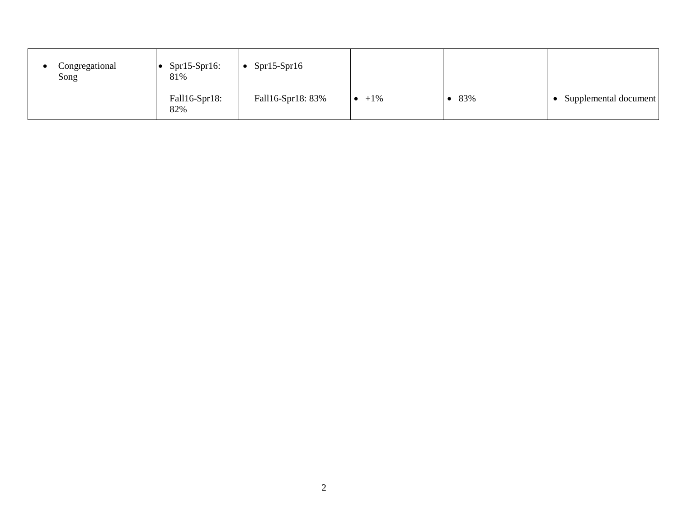| Congregational<br>Song | $Spr15-Spr16:$<br>81% | $Spr15-Spr16$     |        |     |                       |
|------------------------|-----------------------|-------------------|--------|-----|-----------------------|
|                        | Fall16-Spr18:<br>82%  | Fall16-Spr18: 83% | $+1\%$ | 83% | Supplemental document |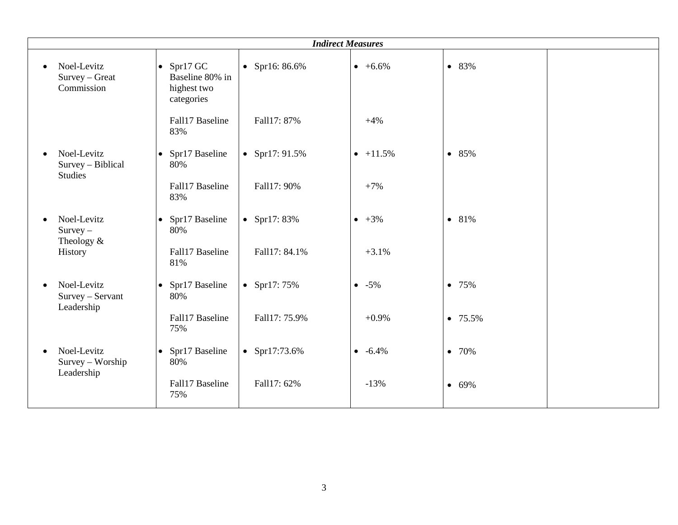|                                                                 |                                                                    | <b>Indirect Measures</b> |                  |            |
|-----------------------------------------------------------------|--------------------------------------------------------------------|--------------------------|------------------|------------|
| Noel-Levitz<br>$\bullet$<br>Survey - Great<br>Commission        | $\bullet$ Spr17 GC<br>Baseline 80% in<br>highest two<br>categories | • Spr16: $86.6\%$        | $+6.6\%$         | • 83%      |
|                                                                 | Fall17 Baseline<br>83%                                             | Fall17: 87%              | $+4%$            |            |
| Noel-Levitz<br>$\bullet$<br>Survey - Biblical<br><b>Studies</b> | Spr17 Baseline<br>$\bullet$<br>80%                                 | • Spr17: $91.5%$         | $\bullet$ +11.5% | • 85%      |
|                                                                 | Fall17 Baseline<br>83%                                             | Fall17: 90%              | $+7%$            |            |
| Noel-Levitz<br>$\bullet$<br>$Survey -$<br>Theology $&$          | Spr17 Baseline<br>$\bullet$<br>80%                                 | • Spr17: $83%$           | $\bullet +3\%$   | • 81%      |
| History                                                         | Fall17 Baseline<br>81%                                             | Fall17: 84.1%            | $+3.1%$          |            |
| Noel-Levitz<br>$\bullet$<br>Survey - Servant<br>Leadership      | Spr17 Baseline<br>$\bullet$<br>80%                                 | • Spr17: $75%$           | $-5\%$           | • 75%      |
|                                                                 | Fall17 Baseline<br>75%                                             | Fall17: 75.9%            | $+0.9%$          | $• 75.5\%$ |
| Noel-Levitz<br>$\bullet$<br>Survey - Worship<br>Leadership      | Spr17 Baseline<br>$\bullet$<br>80%                                 | • Spr17:73.6%            | $-6.4\%$         | • 70%      |
|                                                                 | Fall17 Baseline<br>75%                                             | Fall17: 62%              | $-13%$           | • 69%      |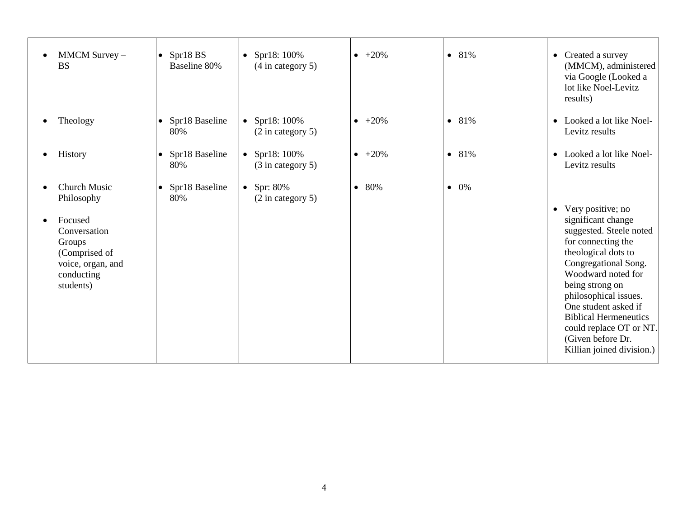| MMCM Survey -<br><b>BS</b>                                                                         | $\bullet$ Spr18 BS<br>Baseline 80% | • Spr18: $100\%$<br>$(4 \text{ in category } 5)$ | $\bullet +20\%$  | • 81%           | • Created a survey<br>(MMCM), administered<br>via Google (Looked a<br>lot like Noel-Levitz<br>results)                                                                                                                                                                                                                                           |
|----------------------------------------------------------------------------------------------------|------------------------------------|--------------------------------------------------|------------------|-----------------|--------------------------------------------------------------------------------------------------------------------------------------------------------------------------------------------------------------------------------------------------------------------------------------------------------------------------------------------------|
| Theology                                                                                           | • Spr18 Baseline<br>80%            | • Spr18: $100\%$<br>$(2 \text{ in category } 5)$ | $\bullet +20\%$  | • 81%           | • Looked a lot like Noel-<br>Levitz results                                                                                                                                                                                                                                                                                                      |
| History                                                                                            | • Spr18 Baseline<br>80%            | • Spr18: $100\%$<br>$(3$ in category 5)          | $-+20%$          | • 81%           | • Looked a lot like Noel-<br>Levitz results                                                                                                                                                                                                                                                                                                      |
| <b>Church Music</b><br>Philosophy                                                                  | • Spr18 Baseline<br>80%            | • Spr: $80\%$<br>$(2 \text{ in category } 5)$    | 80%<br>$\bullet$ | 0%<br>$\bullet$ |                                                                                                                                                                                                                                                                                                                                                  |
| Focused<br>Conversation<br>Groups<br>(Comprised of<br>voice, organ, and<br>conducting<br>students) |                                    |                                                  |                  |                 | • Very positive; no<br>significant change<br>suggested. Steele noted<br>for connecting the<br>theological dots to<br>Congregational Song.<br>Woodward noted for<br>being strong on<br>philosophical issues.<br>One student asked if<br><b>Biblical Hermeneutics</b><br>could replace OT or NT.<br>(Given before Dr.<br>Killian joined division.) |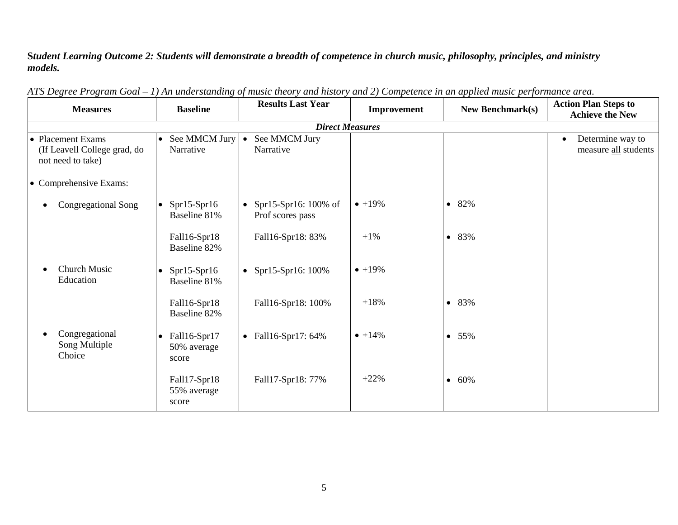## **S***tudent Learning Outcome 2: Students will demonstrate a breadth of competence in church music, philosophy, principles, and ministry models.*

| <b>Measures</b>                                                        | <b>Baseline</b>                                   | <b>Results Last Year</b>                      | Improvement     | <b>New Benchmark(s)</b> | <b>Action Plan Steps to</b><br><b>Achieve the New</b> |  |  |  |  |
|------------------------------------------------------------------------|---------------------------------------------------|-----------------------------------------------|-----------------|-------------------------|-------------------------------------------------------|--|--|--|--|
| <b>Direct Measures</b>                                                 |                                                   |                                               |                 |                         |                                                       |  |  |  |  |
| • Placement Exams<br>(If Leavell College grad, do<br>not need to take) | See MMCM Jury<br>$\bullet$<br>Narrative           | See MMCM Jury<br>$\bullet$<br>Narrative       |                 |                         | Determine way to<br>$\bullet$<br>measure all students |  |  |  |  |
| • Comprehensive Exams:                                                 |                                                   |                                               |                 |                         |                                                       |  |  |  |  |
| Congregational Song                                                    | $Spr15-Spr16$<br>$\bullet$<br>Baseline 81%        | • Spr15-Spr16: $100\%$ of<br>Prof scores pass | $• +19%$        | 82%<br>$\bullet$        |                                                       |  |  |  |  |
|                                                                        | Fall16-Spr18<br>Baseline 82%                      | Fall16-Spr18: 83%                             | $+1%$           | 83%<br>$\bullet$        |                                                       |  |  |  |  |
| Church Music<br>Education                                              | $Spr15-Spr16$<br>$\bullet$<br>Baseline 81%        | Spr15-Spr16: 100%<br>$\bullet$                | $• +19%$        |                         |                                                       |  |  |  |  |
|                                                                        | Fall16-Spr18<br>Baseline 82%                      | Fall16-Spr18: 100%                            | $+18%$          | 83%<br>$\bullet$        |                                                       |  |  |  |  |
| Congregational<br>Song Multiple<br>Choice                              | Fall16-Spr17<br>$\bullet$<br>50% average<br>score | • Fall16-Spr17: $64\%$                        | $\bullet +14\%$ | 55%<br>$\bullet$        |                                                       |  |  |  |  |
|                                                                        | Fall17-Spr18<br>55% average<br>score              | Fall17-Spr18: 77%                             | $+22%$          | 60%<br>$\bullet$        |                                                       |  |  |  |  |

*ATS Degree Program Goal – 1) An understanding of music theory and history and 2) Competence in an applied music performance area.*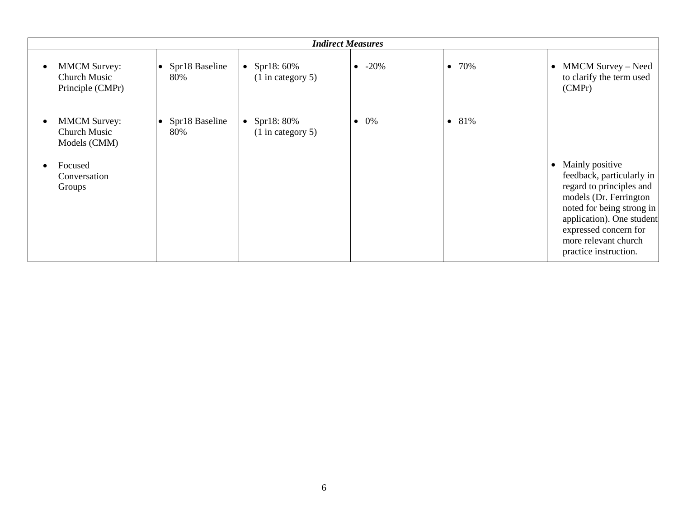| <b>Indirect Measures</b>                                             |                                    |                                                |                |                  |                                                                                                                                                                                                                                          |  |  |  |
|----------------------------------------------------------------------|------------------------------------|------------------------------------------------|----------------|------------------|------------------------------------------------------------------------------------------------------------------------------------------------------------------------------------------------------------------------------------------|--|--|--|
| <b>MMCM Survey:</b><br>$\bullet$<br>Church Music<br>Principle (CMPr) | Spr18 Baseline<br>$\bullet$<br>80% | Spr18: 60%<br>$\bullet$<br>$(1$ in category 5) | $\bullet$ -20% | • 70%            | • MMCM Survey - Need<br>to clarify the term used<br>(CMPr)                                                                                                                                                                               |  |  |  |
| <b>MMCM Survey:</b><br>$\bullet$<br>Church Music<br>Models (CMM)     | Spr18 Baseline<br>$\bullet$<br>80% | Spr18: 80%<br>$\bullet$<br>$(1$ in category 5) | $\bullet$ 0%   | 81%<br>$\bullet$ |                                                                                                                                                                                                                                          |  |  |  |
| Focused<br>$\bullet$<br>Conversation<br>Groups                       |                                    |                                                |                |                  | • Mainly positive<br>feedback, particularly in<br>regard to principles and<br>models (Dr. Ferrington<br>noted for being strong in<br>application). One student<br>expressed concern for<br>more relevant church<br>practice instruction. |  |  |  |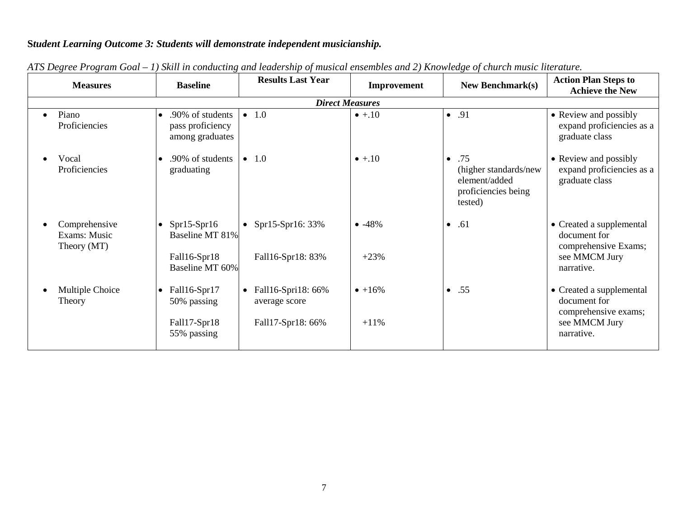## **S***tudent Learning Outcome 3: Students will demonstrate independent musicianship.*

| <b>Measures</b>                              | <b>Baseline</b>                                                                  | <b>Results Last Year</b>                                              | Improvement        | <b>New Benchmark(s)</b>                                                                      | <b>Action Plan Steps to</b><br><b>Achieve the New</b>                                           |  |  |  |  |  |  |
|----------------------------------------------|----------------------------------------------------------------------------------|-----------------------------------------------------------------------|--------------------|----------------------------------------------------------------------------------------------|-------------------------------------------------------------------------------------------------|--|--|--|--|--|--|
|                                              | <b>Direct Measures</b>                                                           |                                                                       |                    |                                                                                              |                                                                                                 |  |  |  |  |  |  |
| Piano<br>Proficiencies                       | .90% of students<br>pass proficiency<br>among graduates                          | $\bullet$ 1.0                                                         | $\bullet$ +.10     | $\bullet$ .91                                                                                | • Review and possibly<br>expand proficiencies as a<br>graduate class                            |  |  |  |  |  |  |
| Vocal<br>Proficiencies                       | .90% of students<br>$\bullet$<br>graduating                                      | $\bullet$ 1.0                                                         | $\bullet$ +.10     | .75<br>$\bullet$<br>(higher standards/new<br>element/added<br>proficiencies being<br>tested) | • Review and possibly<br>expand proficiencies as a<br>graduate class                            |  |  |  |  |  |  |
| Comprehensive<br>Exams: Music<br>Theory (MT) | $Spr15-Spr16$<br>$\bullet$<br>Baseline MT 81%<br>Fall16-Spr18<br>Baseline MT 60% | • Spr15-Spr16: $33%$<br>Fall16-Spr18: 83%                             | $-48%$<br>$+23%$   | .61<br>$\bullet$                                                                             | • Created a supplemental<br>document for<br>comprehensive Exams;<br>see MMCM Jury<br>narrative. |  |  |  |  |  |  |
| Multiple Choice<br>Theory                    | Fall16-Spr17<br>$\bullet$<br>50% passing<br>Fall17-Spr18<br>55% passing          | Fall16-Spri18: 66%<br>$\bullet$<br>average score<br>Fall17-Spr18: 66% | $• +16%$<br>$+11%$ | .55<br>$\bullet$                                                                             | • Created a supplemental<br>document for<br>comprehensive exams;<br>see MMCM Jury<br>narrative. |  |  |  |  |  |  |

*ATS Degree Program Goal – 1) Skill in conducting and leadership of musical ensembles and 2) Knowledge of church music literature.*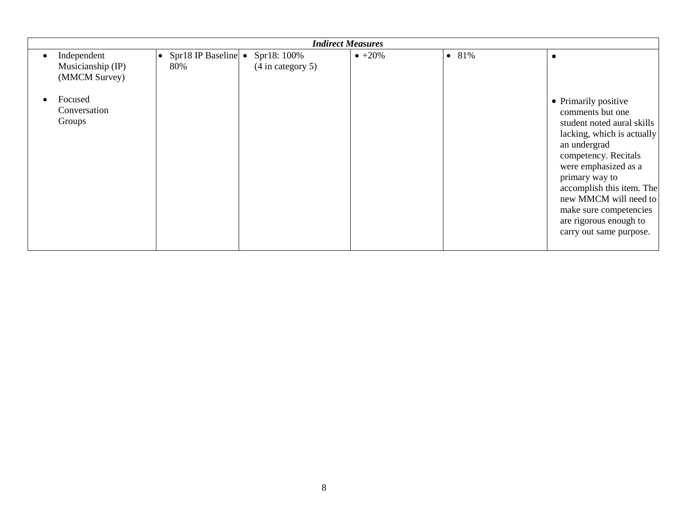| <b>Indirect Measures</b>                                                               |                                      |                                  |                 |                  |                                                                                                                                                                                                                                                                                                                             |  |  |  |  |
|----------------------------------------------------------------------------------------|--------------------------------------|----------------------------------|-----------------|------------------|-----------------------------------------------------------------------------------------------------------------------------------------------------------------------------------------------------------------------------------------------------------------------------------------------------------------------------|--|--|--|--|
| Independent<br>Musicianship (IP)<br>(MMCM Survey)<br>Focused<br>Conversation<br>Groups | • Spr18 IP Baseline $\bullet$<br>80% | Spr18: 100%<br>(4 in category 5) | $\bullet +20\%$ | 81%<br>$\bullet$ | • Primarily positive<br>comments but one<br>student noted aural skills<br>lacking, which is actually<br>an undergrad<br>competency. Recitals<br>were emphasized as a<br>primary way to<br>accomplish this item. The<br>new MMCM will need to<br>make sure competencies<br>are rigorous enough to<br>carry out same purpose. |  |  |  |  |
|                                                                                        |                                      |                                  |                 |                  |                                                                                                                                                                                                                                                                                                                             |  |  |  |  |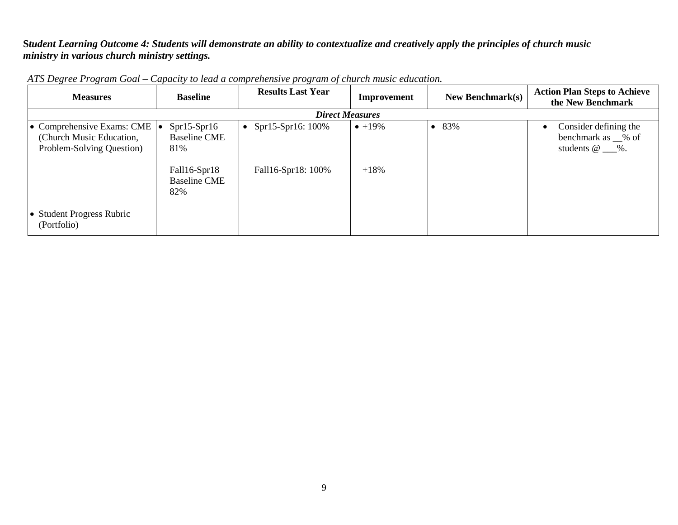**S***tudent Learning Outcome 4: Students will demonstrate an ability to contextualize and creatively apply the principles of church music ministry in various church ministry settings.*

| <b>Measures</b>                                                                                   | <b>Baseline</b>                             | <b>Results Last Year</b> | Improvement     | <b>New Benchmark(s)</b> | <b>Action Plan Steps to Achieve</b><br>the New Benchmark                             |
|---------------------------------------------------------------------------------------------------|---------------------------------------------|--------------------------|-----------------|-------------------------|--------------------------------------------------------------------------------------|
|                                                                                                   |                                             | <b>Direct Measures</b>   |                 |                         |                                                                                      |
| • Comprehensive Exams: CME $  \bullet  $<br>(Church Music Education,<br>Problem-Solving Question) | $Spr15-Spr16$<br><b>Baseline CME</b><br>81% | • Spr15-Spr16: $100\%$   | $\bullet +19\%$ | 83%                     | Consider defining the<br>benchmark as $\_\%$ of<br>students $\omega_{\text{max}}$ %. |
|                                                                                                   | Fall16-Spr18<br><b>Baseline CME</b><br>82%  | Fall16-Spr18: 100%       | $+18%$          |                         |                                                                                      |
| • Student Progress Rubric<br>(Portfolio)                                                          |                                             |                          |                 |                         |                                                                                      |

*ATS Degree Program Goal – Capacity to lead a comprehensive program of church music education.*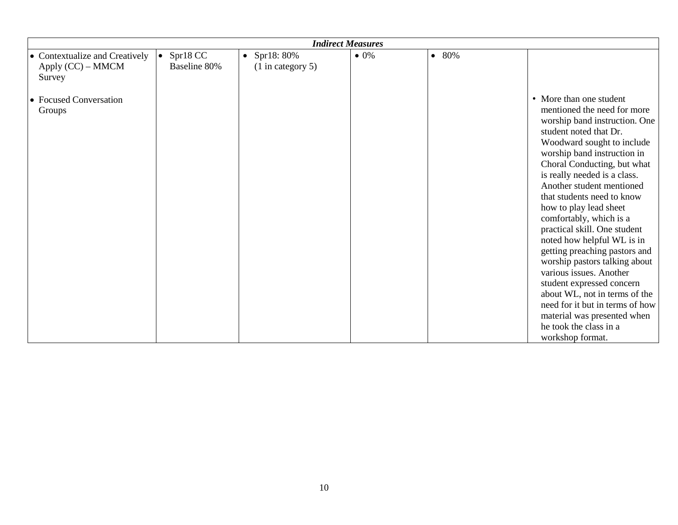|                                                                 | <b>Indirect Measures</b>              |                                        |              |       |                                                                                                                                                                                                                                                                                                                                                                                                                                                                                                                                                                                                                                                                                                        |  |  |  |  |
|-----------------------------------------------------------------|---------------------------------------|----------------------------------------|--------------|-------|--------------------------------------------------------------------------------------------------------------------------------------------------------------------------------------------------------------------------------------------------------------------------------------------------------------------------------------------------------------------------------------------------------------------------------------------------------------------------------------------------------------------------------------------------------------------------------------------------------------------------------------------------------------------------------------------------------|--|--|--|--|
| • Contextualize and Creatively<br>Apply $(CC)$ – MMCM<br>Survey | Spr18 CC<br>$\bullet$<br>Baseline 80% | • Spr18: $80\%$<br>$(1$ in category 5) | $\bullet$ 0% | • 80% |                                                                                                                                                                                                                                                                                                                                                                                                                                                                                                                                                                                                                                                                                                        |  |  |  |  |
| • Focused Conversation<br>Groups                                |                                       |                                        |              |       | • More than one student<br>mentioned the need for more<br>worship band instruction. One<br>student noted that Dr.<br>Woodward sought to include<br>worship band instruction in<br>Choral Conducting, but what<br>is really needed is a class.<br>Another student mentioned<br>that students need to know<br>how to play lead sheet<br>comfortably, which is a<br>practical skill. One student<br>noted how helpful WL is in<br>getting preaching pastors and<br>worship pastors talking about<br>various issues. Another<br>student expressed concern<br>about WL, not in terms of the<br>need for it but in terms of how<br>material was presented when<br>he took the class in a<br>workshop format. |  |  |  |  |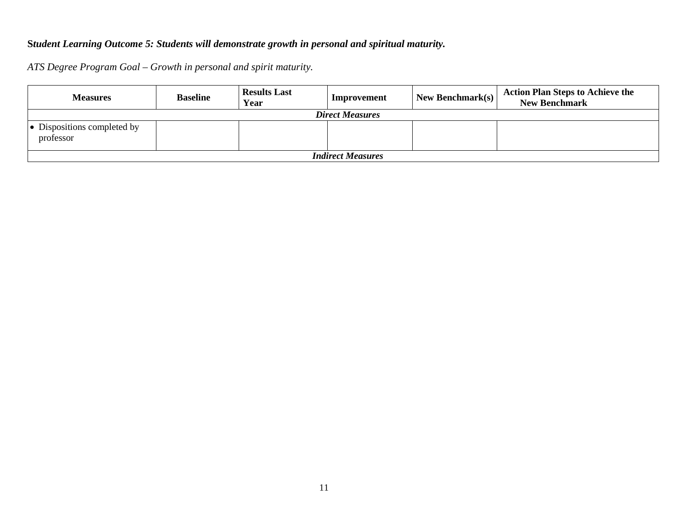## **S***tudent Learning Outcome 5: Students will demonstrate growth in personal and spiritual maturity.*

*ATS Degree Program Goal – Growth in personal and spirit maturity.*

| <b>Measures</b>                          | <b>Baseline</b> | <b>Results Last</b><br>Year | Improvement | New Benchmark $(s)$ | <b>Action Plan Steps to Achieve the</b><br><b>New Benchmark</b> |  |  |  |  |  |
|------------------------------------------|-----------------|-----------------------------|-------------|---------------------|-----------------------------------------------------------------|--|--|--|--|--|
| <b>Direct Measures</b>                   |                 |                             |             |                     |                                                                 |  |  |  |  |  |
| • Dispositions completed by<br>professor |                 |                             |             |                     |                                                                 |  |  |  |  |  |
| <b>Indirect Measures</b>                 |                 |                             |             |                     |                                                                 |  |  |  |  |  |